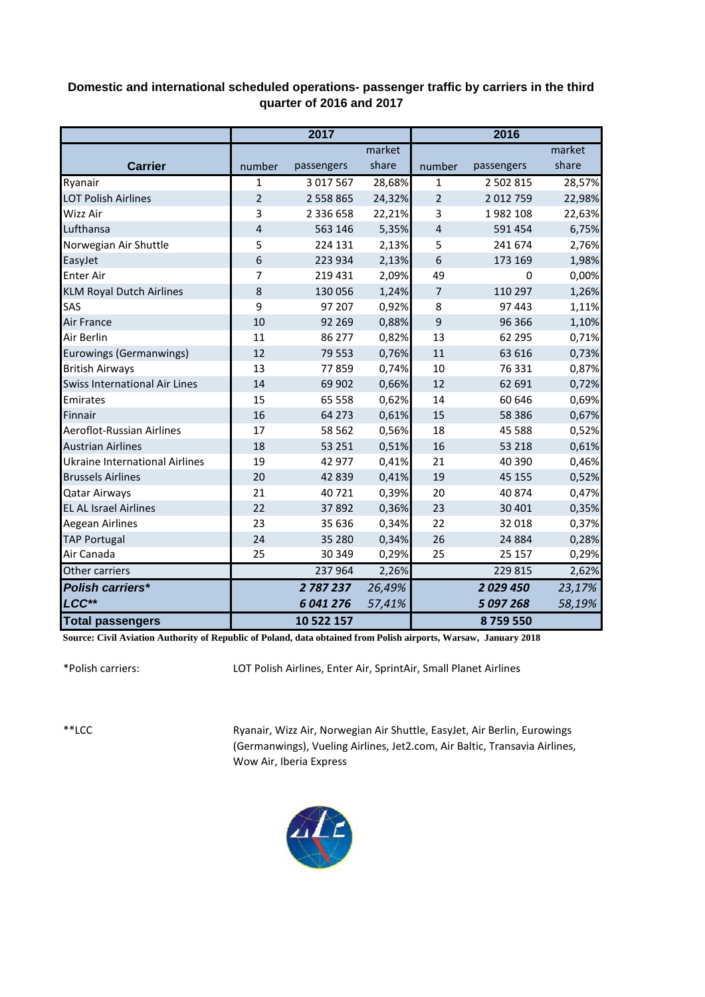## **Domestic and international scheduled operations- passenger traffic by carriers in the third quarter of 2016 and 2017**

|                                       |                | 2017       |        | 2016           |            |        |  |
|---------------------------------------|----------------|------------|--------|----------------|------------|--------|--|
|                                       |                |            | market |                |            | market |  |
| <b>Carrier</b>                        | number         | passengers | share  | number         | passengers | share  |  |
| Ryanair                               | $\mathbf{1}$   | 3 017 567  | 28,68% | 1              | 2 502 815  | 28,57% |  |
| <b>LOT Polish Airlines</b>            | $\overline{2}$ | 2 558 865  | 24,32% | $\overline{2}$ | 2 012 759  | 22,98% |  |
| Wizz Air                              | 3              | 2 336 658  | 22,21% | 3              | 1982 108   | 22,63% |  |
| Lufthansa                             | 4              | 563 146    | 5,35%  | $\overline{4}$ | 591 454    | 6,75%  |  |
| Norwegian Air Shuttle                 | 5              | 224 131    | 2,13%  | 5              | 241 674    | 2,76%  |  |
| EasyJet                               | 6              | 223 934    | 2,13%  | 6              | 173 169    | 1,98%  |  |
| <b>Enter Air</b>                      | 7              | 219 431    | 2,09%  | 49             | 0          | 0,00%  |  |
| <b>KLM Royal Dutch Airlines</b>       | 8              | 130 056    | 1,24%  | 7              | 110 297    | 1,26%  |  |
| SAS                                   | 9              | 97 207     | 0,92%  | 8              | 97 443     | 1,11%  |  |
| Air France                            | 10             | 92 2 69    | 0,88%  | 9              | 96 36 6    | 1,10%  |  |
| Air Berlin                            | 11             | 86 277     | 0,82%  | 13             | 62 2 95    | 0,71%  |  |
| Eurowings (Germanwings)               | 12             | 79 5 53    | 0,76%  | 11             | 63 616     | 0,73%  |  |
| <b>British Airways</b>                | 13             | 77859      | 0,74%  | 10             | 76 331     | 0,87%  |  |
| Swiss International Air Lines         | 14             | 69 902     | 0,66%  | 12             | 62 691     | 0,72%  |  |
| Emirates                              | 15             | 65 558     | 0,62%  | 14             | 60 646     | 0,69%  |  |
| Finnair                               | 16             | 64 273     | 0,61%  | 15             | 58 386     | 0,67%  |  |
| Aeroflot-Russian Airlines             | 17             | 58 5 62    | 0,56%  | 18             | 45 5 88    | 0,52%  |  |
| <b>Austrian Airlines</b>              | 18             | 53 251     | 0,51%  | 16             | 53 218     | 0,61%  |  |
| <b>Ukraine International Airlines</b> | 19             | 42 977     | 0,41%  | 21             | 40 390     | 0,46%  |  |
| <b>Brussels Airlines</b>              | 20             | 42 839     | 0,41%  | 19             | 45 155     | 0,52%  |  |
| <b>Qatar Airways</b>                  | 21             | 40721      | 0,39%  | 20             | 40874      | 0,47%  |  |
| <b>EL AL Israel Airlines</b>          | 22             | 37892      | 0,36%  | 23             | 30 401     | 0,35%  |  |
| Aegean Airlines                       | 23             | 35 636     | 0,34%  | 22             | 32 018     | 0,37%  |  |
| <b>TAP Portugal</b>                   | 24             | 35 280     | 0,34%  | 26             | 24 8 84    | 0,28%  |  |
| Air Canada                            | 25             | 30 349     | 0,29%  | 25             | 25 157     | 0,29%  |  |
| Other carriers                        |                | 237 964    | 2,26%  |                | 229 815    | 2,62%  |  |
| <b>Polish carriers*</b>               |                | 2787237    | 26,49% |                | 2029450    | 23,17% |  |
| LCC**                                 |                | 6 041 276  | 57,41% |                | 5 097 268  | 58,19% |  |
| <b>Total passengers</b>               |                | 10 522 157 |        |                | 8759550    |        |  |

**Source: Civil Aviation Authority of Republic of Poland, data obtained from Polish airports, Warsaw, January 2018**

\*Polish carriers:

LOT Polish Airlines, Enter Air, SprintAir, Small Planet Airlines

\*\*LCC

Ryanair, Wizz Air, Norwegian Air Shuttle, EasyJet, Air Berlin, Eurowings (Germanwings), Vueling Airlines, Jet2.com, Air Baltic, Transavia Airlines, Wow Air, Iberia Express